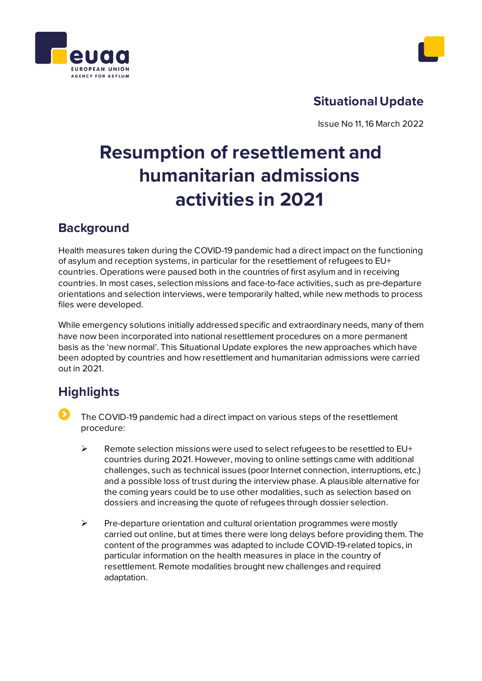



# **Situational Update**

Issue No 11, 16 March 2022

# **Resumption of resettlement and humanitarian admissions activities in 2021**

# **Background**

Health measures taken during the COVID-19 pandemic had a direct impact on the functioning of asylum and reception systems, in particular for the resettlement of refugees to EU+ countries. Operations were paused both in the countries of first asylum and in receiving countries. In most cases, selection missions and face-to-face activities, such as pre-departure orientations and selection interviews, were temporarily halted, while new methods to process files were developed.

While emergency solutions initially addressed specific and extraordinary needs, many of them have now been incorporated into national resettlement procedures on a more permanent basis as the 'new normal'. This Situational Update explores the new approaches which have been adopted by countries and how resettlement and humanitarian admissions were carried out in 2021.

# **Highlights**

- The COVID-19 pandemic had a direct impact on various steps of the resettlement procedure:
	- $\triangleright$  Remote selection missions were used to select refugees to be resettled to EU+ countries during 2021. However, moving to online settings came with additional challenges, such as technical issues (poor Internet connection, interruptions, etc.) and a possible loss of trust during the interview phase. A plausible alternative for the coming years could be to use other modalities, such as selection based on dossiers and increasing the quote of refugees through dossier selection.
	- $\triangleright$  Pre-departure orientation and cultural orientation programmes were mostly carried out online, but at times there were long delays before providing them. The content of the programmes was adapted to include COVID-19-related topics, in particular information on the health measures in place in the country of resettlement. Remote modalities brought new challenges and required adaptation.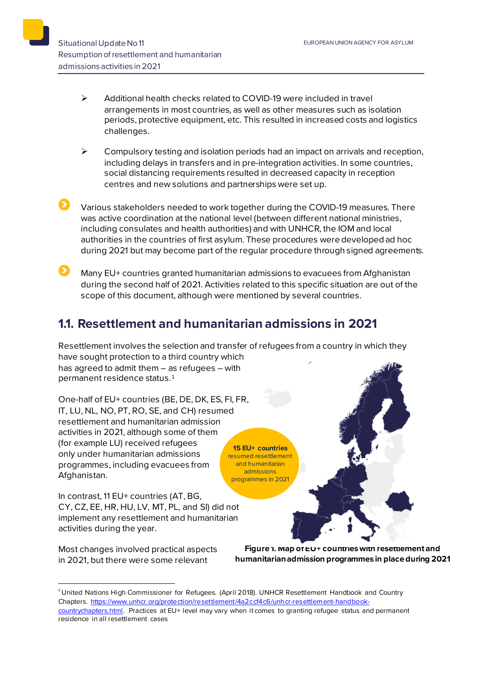- $\triangleright$  Additional health checks related to COVID-19 were included in travel arrangements in most countries, as well as other measures such as isolation periods, protective equipment, etc. This resulted in increased costs and logistics challenges.
- $\triangleright$  Compulsory testing and isolation periods had an impact on arrivals and reception, including delays in transfers and in pre-integration activities. In some countries, social distancing requirements resulted in decreased capacity in reception centres and new solutions and partnerships were set up.
- Various stakeholders needed to work together during the COVID-19 measures. There was active coordination at the national level (between different national ministries, including consulates and health authorities) and with UNHCR, the IOM and local authorities in the countries of first asylum. These procedures were developed ad hoc during 2021 but may become part of the regular procedure through signed agreements.
	- Many EU+ countries granted humanitarian admissions to evacuees from Afghanistan during the second half of 2021. Activities related to this specific situation are out of the scope of this document, although were mentioned by several countries.

### **1.1. Resettlement and humanitarian admissions in 2021**

Resettlement involves the selection and transfer of refugees from a country in which they have sought protection to a third country which has agreed to admit them – as refugees – with

permanent residence status.[1](#page-1-0)

One-half of EU+ countries (BE, DE, DK, ES, FI, FR, IT, LU, NL, NO, PT, RO, SE, and CH) resumed resettlement and humanitarian admission activities in 2021, although some of them (for example LU) received refugees only under humanitarian admissions programmes, including evacuees from Afghanistan. **15 EU+ countries** resumed resettlement and humanitarian admissions programmes in 2021

In contrast, 11 EU+ countries (AT, BG, CY, CZ, EE, HR, HU, LV, MT, PL, and SI) did not implement any resettlement and humanitarian activities during the year.

Most changes involved practical aspects in 2021, but there were some relevant

**Figure 1. Map of EU+ countries with resettlement and humanitarian admission programmes in place during 2021**

<span id="page-1-0"></span><sup>1</sup> United Nations High Commissioner for Refugees. (April 2018). UNHCR Resettlement Handbook and Country Chapters. [https://www.unhcr.org/protection/resettlement/4a2ccf4c6/unhcr-resettlement-handbook-](https://www.unhcr.org/protection/resettlement/4a2ccf4c6/unhcr-resettlement-handbook-countrychapters.html)

[countrychapters.html.](https://www.unhcr.org/protection/resettlement/4a2ccf4c6/unhcr-resettlement-handbook-countrychapters.html) Practices at EU+ level may vary when it comes to granting refugee status and permanent residence in all resettlement cases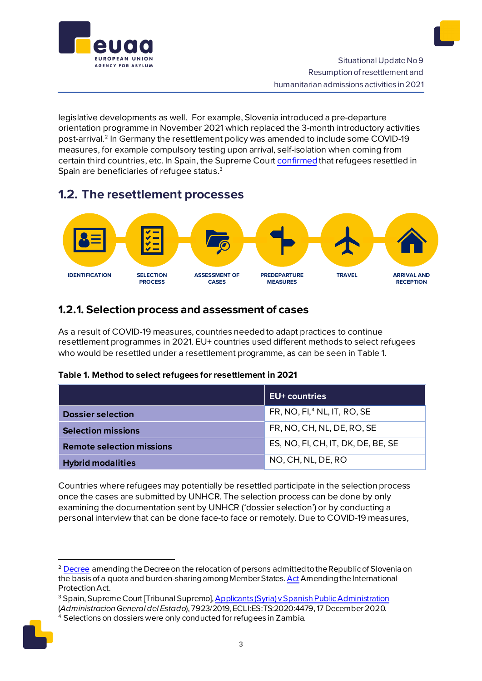

legislative developments as well. For example, Slovenia introduced a pre-departure orientation programme in November 2021 which replaced the 3-month introductory activities post-arrival.[2](#page-2-0) In Germany the resettlement policy was amended to include some COVID-19 measures, for example compulsory testing upon arrival, self-isolation when coming from certain third countries, etc. In Spain, the Supreme Cour[t confirmed](https://caselaw.euaa.europa.eu/pages/viewcaselaw.aspx?CaseLawID=1573) that refugees resettled in Spain are beneficiaries of refugee status. [3](#page-2-1)

## **1.2. The resettlement processes**



### **1.2.1. Selection process and assessment of cases**

As a result of COVID-19 measures, countries needed to adapt practices to continue resettlement programmes in 2021. EU+ countries used different methods to select refugees who would be resettled under a resettlement programme, as can be seen in Table 1.

#### **Table 1. Method to select refugees for resettlement in 2021**

|                                  | EU+ countries                           |
|----------------------------------|-----------------------------------------|
| <b>Dossier selection</b>         | FR, NO, FI, <sup>4</sup> NL, IT, RO, SE |
| <b>Selection missions</b>        | FR, NO, CH, NL, DE, RO, SE              |
| <b>Remote selection missions</b> | ES, NO, FI, CH, IT, DK, DE, BE, SE      |
| <b>Hybrid modalities</b>         | NO, CH, NL, DE, RO                      |

Countries where refugees may potentially be resettled participate in the selection process once the cases are submitted by UNHCR. The selection process can be done by only examining the documentation sent by UNHCR ('dossier selection') or by conducting a personal interview that can be done face-to face or remotely. Due to COVID-19 measures,

<span id="page-2-2"></span><span id="page-2-1"></span><span id="page-2-0"></span><sup>4</sup> Selections on dossiers were only conducted for refugees in Zambia.



<sup>&</sup>lt;sup>2</sup> [Decree](http://www.pisrs.si/Pis.web/pregledPredpisa?id=URED8338) amending the Decree on the relocation of persons admitted to the Republic of Slovenia on the basis of a quota and burden-sharing among Member States. Act Amending the International Protection Act.

<sup>3</sup> Spain, Supreme Court [Tribunal Supremo][, Applicants \(Syria\) v Spanish Public Administration](https://caselaw.euaa.europa.eu/pages/viewcaselaw.aspx?CaseLawID=1573) (*Administracion General del Estado*), 7923/2019, ECLI:ES:TS:2020:4479, 17 December 2020.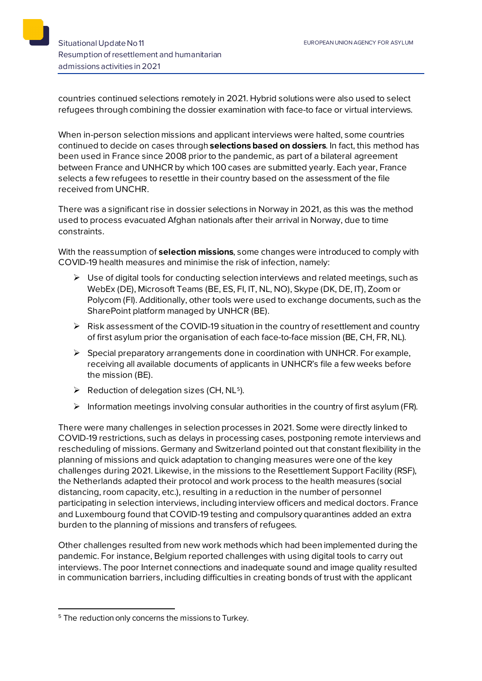countries continued selections remotely in 2021. Hybrid solutions were also used to select refugees through combining the dossier examination with face-to face or virtual interviews.

When in-person selection missions and applicant interviews were halted, some countries continued to decide on cases through **selections based on dossiers**. In fact, this method has been used in France since 2008 prior to the pandemic, as part of a bilateral agreement between France and UNHCR by which 100 cases are submitted yearly. Each year, France selects a few refugees to resettle in their country based on the assessment of the file received from UNCHR.

There was a significant rise in dossier selections in Norway in 2021, as this was the method used to process evacuated Afghan nationals after their arrival in Norway, due to time constraints.

With the reassumption of **selection missions**, some changes were introduced to comply with COVID-19 health measures and minimise the risk of infection, namely:

- $\triangleright$  Use of digital tools for conducting selection interviews and related meetings, such as WebEx (DE), Microsoft Teams (BE, ES, FI, IT, NL, NO), Skype (DK, DE, IT), Zoom or Polycom (FI). Additionally, other tools were used to exchange documents, such as the SharePoint platform managed by UNHCR (BE).
- $\triangleright$  Risk assessment of the COVID-19 situation in the country of resettlement and country of first asylum prior the organisation of each face-to-face mission (BE, CH, FR, NL).
- Special preparatory arrangements done in coordination with UNHCR. For example, receiving all available documents of applicants in UNHCR's file a few weeks before the mission (BE).
- $\triangleright$  Reduction of delegation sizes (CH, NL<sup>[5](#page-3-0)</sup>).
- $\triangleright$  Information meetings involving consular authorities in the country of first asylum (FR).

There were many challenges in selection processes in 2021. Some were directly linked to COVID-19 restrictions, such as delays in processing cases, postponing remote interviews and rescheduling of missions. Germany and Switzerland pointed out that constant flexibility in the planning of missions and quick adaptation to changing measures were one of the key challenges during 2021. Likewise, in the missions to the Resettlement Support Facility (RSF), the Netherlands adapted their protocol and work process to the health measures (social distancing, room capacity, etc.), resulting in a reduction in the number of personnel participating in selection interviews, including interview officers and medical doctors. France and Luxembourg found that COVID-19 testing and compulsory quarantines added an extra burden to the planning of missions and transfers of refugees.

Other challenges resulted from new work methods which had been implemented during the pandemic. For instance, Belgium reported challenges with using digital tools to carry out interviews. The poor Internet connections and inadequate sound and image quality resulted in communication barriers, including difficulties in creating bonds of trust with the applicant

<span id="page-3-0"></span><sup>&</sup>lt;sup>5</sup> The reduction only concerns the missions to Turkey.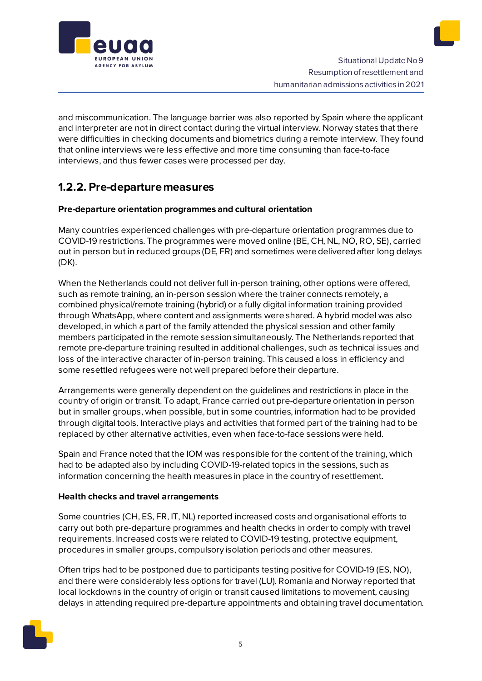

and miscommunication. The language barrier was also reported by Spain where the applicant and interpreter are not in direct contact during the virtual interview. Norway states that there were difficulties in checking documents and biometrics during a remote interview. They found that online interviews were less effective and more time consuming than face-to-face interviews, and thus fewer cases were processed per day.

### **1.2.2. Pre-departure measures**

#### **Pre-departure orientation programmes and cultural orientation**

Many countries experienced challenges with pre-departure orientation programmes due to COVID-19 restrictions. The programmes were moved online (BE, CH, NL, NO, RO, SE), carried out in person but in reduced groups (DE, FR) and sometimes were delivered after long delays (DK).

When the Netherlands could not deliver full in-person training, other options were offered, such as remote training, an in-person session where the trainer connects remotely, a combined physical/remote training (hybrid) or a fully digital information training provided through WhatsApp, where content and assignments were shared. A hybrid model was also developed, in which a part of the family attended the physical session and other family members participated in the remote session simultaneously. The Netherlands reported that remote pre-departure training resulted in additional challenges, such as technical issues and loss of the interactive character of in-person training. This caused a loss in efficiency and some resettled refugees were not well prepared before their departure.

Arrangements were generally dependent on the guidelines and restrictions in place in the country of origin or transit. To adapt, France carried out pre-departure orientation in person but in smaller groups, when possible, but in some countries, information had to be provided through digital tools. Interactive plays and activities that formed part of the training had to be replaced by other alternative activities, even when face-to-face sessions were held.

Spain and France noted that the IOM was responsible for the content of the training, which had to be adapted also by including COVID-19-related topics in the sessions, such as information concerning the health measures in place in the country of resettlement.

#### **Health checks and travel arrangements**

Some countries (CH, ES, FR, IT, NL) reported increased costs and organisational efforts to carry out both pre-departure programmes and health checks in order to comply with travel requirements. Increased costs were related to COVID-19 testing, protective equipment, procedures in smaller groups, compulsory isolation periods and other measures.

Often trips had to be postponed due to participants testing positive for COVID-19 (ES, NO), and there were considerably less options for travel (LU). Romania and Norway reported that local lockdowns in the country of origin or transit caused limitations to movement, causing delays in attending required pre-departure appointments and obtaining travel documentation.

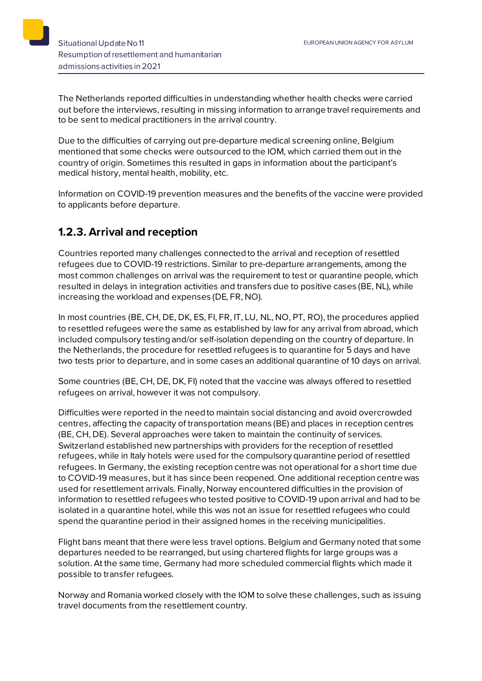

The Netherlands reported difficulties in understanding whether health checks were carried out before the interviews, resulting in missing information to arrange travel requirements and to be sent to medical practitioners in the arrival country.

Due to the difficulties of carrying out pre-departure medical screening online, Belgium mentioned that some checks were outsourced to the IOM, which carried them out in the country of origin. Sometimes this resulted in gaps in information about the participant's medical history, mental health, mobility, etc.

Information on COVID-19 prevention measures and the benefits of the vaccine were provided to applicants before departure.

### **1.2.3. Arrival and reception**

Countries reported many challenges connected to the arrival and reception of resettled refugees due to COVID-19 restrictions. Similar to pre-departure arrangements, among the most common challenges on arrival was the requirement to test or quarantine people, which resulted in delays in integration activities and transfers due to positive cases (BE, NL), while increasing the workload and expenses (DE, FR, NO).

In most countries (BE, CH, DE, DK, ES, FI, FR, IT, LU, NL, NO, PT, RO), the procedures applied to resettled refugees were the same as established by law for any arrival from abroad, which included compulsory testing and/or self-isolation depending on the country of departure. In the Netherlands, the procedure for resettled refugees is to quarantine for 5 days and have two tests prior to departure, and in some cases an additional quarantine of 10 days on arrival.

Some countries (BE, CH, DE, DK, FI) noted that the vaccine was always offered to resettled refugees on arrival, however it was not compulsory.

Difficulties were reported in the need to maintain social distancing and avoid overcrowded centres, affecting the capacity of transportation means (BE) and places in reception centres (BE, CH, DE). Several approaches were taken to maintain the continuity of services. Switzerland established new partnerships with providers for the reception of resettled refugees, while in Italy hotels were used for the compulsory quarantine period of resettled refugees. In Germany, the existing reception centre was not operational for a short time due to COVID-19 measures, but it has since been reopened. One additional reception centre was used for resettlement arrivals. Finally, Norway encountered difficulties in the provision of information to resettled refugees who tested positive to COVID-19 upon arrival and had to be isolated in a quarantine hotel, while this was not an issue for resettled refugees who could spend the quarantine period in their assigned homes in the receiving municipalities.

Flight bans meant that there were less travel options. Belgium and Germany noted that some departures needed to be rearranged, but using chartered flights for large groups was a solution. At the same time, Germany had more scheduled commercial flights which made it possible to transfer refugees.

Norway and Romania worked closely with the IOM to solve these challenges, such as issuing travel documents from the resettlement country.